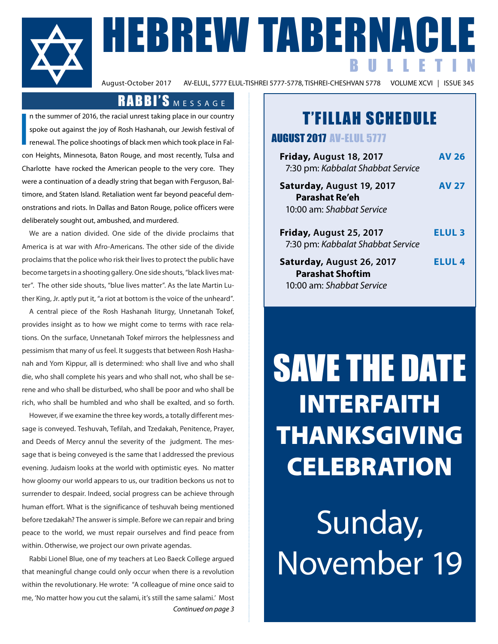

# A BERNACLE<br>BULLETIN BULLETIN

AV-ELUL, 5777 ELUL-TISHREI 5777-5778, TISHREI-CHESHVAN 5778

# RABBI'S MESSAGE

I n the summer of 2016, the racial unrest taking place in our country spoke out against the joy of Rosh Hashanah, our Jewish festival of renewal. The police shootings of black men which took place in Falcon Heights, Minnesota, Baton Rouge, and most recently, Tulsa and Charlotte have rocked the American people to the very core. They were a continuation of a deadly string that began with Ferguson, Baltimore, and Staten Island. Retaliation went far beyond peaceful demonstrations and riots. In Dallas and Baton Rouge, police officers were deliberately sought out, ambushed, and murdered.

We are a nation divided. One side of the divide proclaims that America is at war with Afro-Americans. The other side of the divide proclaims that the police who risk their lives to protect the public have become targets in a shooting gallery. One side shouts, "black lives matter". The other side shouts, "blue lives matter". As the late Martin Luther King, Jr. aptly put it, "a riot at bottom is the voice of the unheard".

A central piece of the Rosh Hashanah liturgy, Unnetanah Tokef, provides insight as to how we might come to terms with race relations. On the surface, Unnetanah Tokef mirrors the helplessness and pessimism that many of us feel. It suggests that between Rosh Hashanah and Yom Kippur, all is determined: who shall live and who shall die, who shall complete his years and who shall not, who shall be serene and who shall be disturbed, who shall be poor and who shall be rich, who shall be humbled and who shall be exalted, and so forth.

However, if we examine the three key words, a totally different message is conveyed. Teshuvah, Tefilah, and Tzedakah, Penitence, Prayer, and Deeds of Mercy annul the severity of the judgment. The message that is being conveyed is the same that I addressed the previous evening. Judaism looks at the world with optimistic eyes. No matter how gloomy our world appears to us, our tradition beckons us not to surrender to despair. Indeed, social progress can be achieve through human effort. What is the significance of teshuvah being mentioned before tzedakah? The answer is simple. Before we can repair and bring peace to the world, we must repair ourselves and find peace from within. Otherwise, we project our own private agendas.

Rabbi Lionel Blue, one of my teachers at Leo Baeck College argued that meaningful change could only occur when there is a revolution within the revolutionary. He wrote: "A colleague of mine once said to me, 'No matter how you cut the salami, it's still the same salami.' Most *Continued on page 3*

# T'FILLAH SCHEDULE

AUGUST 2017 AV-ELUL 5777

| Friday, August 18, 2017<br>7:30 pm: Kabbalat Shabbat Service                      | AV 26         |
|-----------------------------------------------------------------------------------|---------------|
| Saturday, August 19, 2017<br><b>Parashat Re'eh</b><br>10:00 am: Shabbat Service   | <b>AV 27</b>  |
| Friday, August 25, 2017<br>7:30 pm: Kabbalat Shabbat Service                      | <b>ELUL 3</b> |
| Saturday, August 26, 2017<br><b>Parashat Shoftim</b><br>10:00 am: Shabbat Service | <b>ELUL 4</b> |

# SAVE THE DATE INTERFAITH THANKSGIVING **CELEBRATION**

Sunday, November 19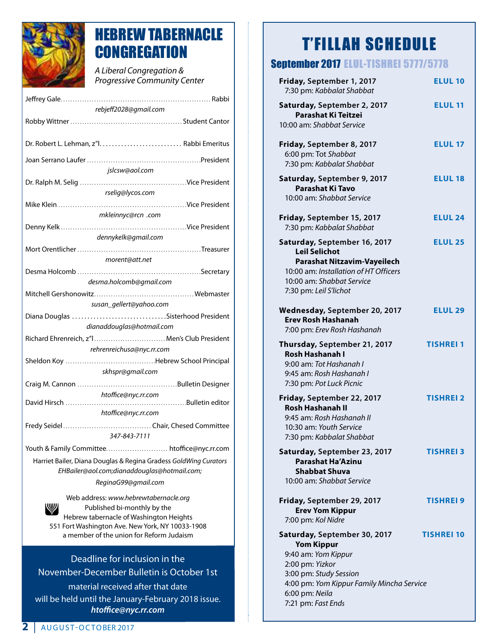

# HEBREW TABERNACLE **CONGREGATION**

*A Liberal Congregation & Progressive Community Center* 

| rebjeff2028@gmail.com                                            |
|------------------------------------------------------------------|
|                                                                  |
|                                                                  |
|                                                                  |
|                                                                  |
| jslcsw@aol.com                                                   |
|                                                                  |
| rselig@lycos.com                                                 |
|                                                                  |
|                                                                  |
| mkleinnyc@rcn .com                                               |
|                                                                  |
| dennykelk@gmail.com                                              |
|                                                                  |
| morent@att.net                                                   |
|                                                                  |
| desma.holcomb@gmail.com                                          |
|                                                                  |
| susan_gellert@yahoo.com                                          |
| Diana Douglas Sisterhood President                               |
| dianaddouglas@hotmail.com                                        |
| Richard Ehrenreich, z"I Men's Club President                     |
| rehrenreichusa@nyc.rr.com                                        |
|                                                                  |
| skhspr@gmail.com                                                 |
|                                                                  |
| htoffice@nyc.rr.com                                              |
|                                                                  |
| htoffice@nyc.rr.com                                              |
|                                                                  |
| 347-843-7111                                                     |
| Youth & Family Committee htoffice@nyc.rr.com                     |
| Harriet Bailer, Diana Douglas & Regina Gradess GoldWing Curators |
| EHBailer@aol.com;dianaddouglas@hotmail.com;                      |
|                                                                  |
| ReginaG99@gmail.com                                              |
| Web address: www.hebrewtabernacle.org                            |
| Published bi-monthly by the                                      |
| Hebrew tabernacle of Washington Heights                          |

551 Fort Washington Ave. New York, NY 10033-1908 a member of the union for Reform Judaism

Deadline for inclusion in the November-December Bulletin is October 1st material received after that date will be held until the January-February 2018 issue. *htoffice@nyc.rr.com*

# T'FILLAH SCHEDULE

# September 2017 ELUL-TISHREI 5777/5778

| Friday, September 1, 2017<br><b>ELUL 10</b><br>7:30 pm: Kabbalat Shabbat<br>Saturday, September 2, 2017<br><b>ELUL 11</b><br><b>Parashat Ki Teitzei</b><br>10:00 am: Shabbat Service<br>Friday, September 8, 2017<br><b>ELUL 17</b><br>6:00 pm: Tot Shabbat<br>7:30 pm: Kabbalat Shabbat<br>Saturday, September 9, 2017<br><b>ELUL 18</b><br>Parashat Ki Tavo<br>10:00 am: Shabbat Service<br><b>ELUL 24</b><br>Friday, September 15, 2017<br>7:30 pm: Kabbalat Shabbat<br>Saturday, September 16, 2017<br><b>ELUL 25</b><br><b>Leil Selichot</b><br><b>Parashat Nitzavim-Vayeilech</b><br>10:00 am: Installation of HT Officers<br>10:00 am: Shabbat Service<br>7:30 pm: Leil S'lichot<br>Wednesday, September 20, 2017<br><b>ELUL 29</b><br><b>Erev Rosh Hashanah</b><br>7:00 pm: Erev Rosh Hashanah<br>Thursday, September 21, 2017<br><b>TISHREI 1</b><br><b>Rosh Hashanah I</b><br>9:00 am: Tot Hashanah I<br>9:45 am: Rosh Hashanah I<br>7:30 pm: Pot Luck Picnic<br>Friday, September 22, 2017<br>TISHREI 2<br><b>Rosh Hashanah II</b><br>9:45 am: Rosh Hashanah II<br>10:30 am: Youth Service<br>7:30 pm: Kabbalat Shabbat<br>Saturday, September 23, 2017<br><b>TISHREI 3</b><br><b>Parashat Ha'Azinu</b><br><b>Shabbat Shuva</b><br>10:00 am: Shabbat Service<br>Friday, September 29, 2017<br>TISHREI 9<br><b>Erev Yom Kippur</b><br>7:00 pm: Kol Nidre<br>Saturday, September 30, 2017<br><b>TISHREI 10</b><br><b>Yom Kippur</b><br>9:40 am: Yom Kippur<br>2:00 pm: Yizkor<br>3:00 pm: Study Session<br>4:00 pm: Yom Kippur Family Mincha Service<br>6:00 pm: Neila |                    |  |
|---------------------------------------------------------------------------------------------------------------------------------------------------------------------------------------------------------------------------------------------------------------------------------------------------------------------------------------------------------------------------------------------------------------------------------------------------------------------------------------------------------------------------------------------------------------------------------------------------------------------------------------------------------------------------------------------------------------------------------------------------------------------------------------------------------------------------------------------------------------------------------------------------------------------------------------------------------------------------------------------------------------------------------------------------------------------------------------------------------------------------------------------------------------------------------------------------------------------------------------------------------------------------------------------------------------------------------------------------------------------------------------------------------------------------------------------------------------------------------------------------------------------------------------------------------------------------------|--------------------|--|
|                                                                                                                                                                                                                                                                                                                                                                                                                                                                                                                                                                                                                                                                                                                                                                                                                                                                                                                                                                                                                                                                                                                                                                                                                                                                                                                                                                                                                                                                                                                                                                                 |                    |  |
|                                                                                                                                                                                                                                                                                                                                                                                                                                                                                                                                                                                                                                                                                                                                                                                                                                                                                                                                                                                                                                                                                                                                                                                                                                                                                                                                                                                                                                                                                                                                                                                 |                    |  |
|                                                                                                                                                                                                                                                                                                                                                                                                                                                                                                                                                                                                                                                                                                                                                                                                                                                                                                                                                                                                                                                                                                                                                                                                                                                                                                                                                                                                                                                                                                                                                                                 |                    |  |
|                                                                                                                                                                                                                                                                                                                                                                                                                                                                                                                                                                                                                                                                                                                                                                                                                                                                                                                                                                                                                                                                                                                                                                                                                                                                                                                                                                                                                                                                                                                                                                                 |                    |  |
|                                                                                                                                                                                                                                                                                                                                                                                                                                                                                                                                                                                                                                                                                                                                                                                                                                                                                                                                                                                                                                                                                                                                                                                                                                                                                                                                                                                                                                                                                                                                                                                 |                    |  |
|                                                                                                                                                                                                                                                                                                                                                                                                                                                                                                                                                                                                                                                                                                                                                                                                                                                                                                                                                                                                                                                                                                                                                                                                                                                                                                                                                                                                                                                                                                                                                                                 |                    |  |
|                                                                                                                                                                                                                                                                                                                                                                                                                                                                                                                                                                                                                                                                                                                                                                                                                                                                                                                                                                                                                                                                                                                                                                                                                                                                                                                                                                                                                                                                                                                                                                                 |                    |  |
|                                                                                                                                                                                                                                                                                                                                                                                                                                                                                                                                                                                                                                                                                                                                                                                                                                                                                                                                                                                                                                                                                                                                                                                                                                                                                                                                                                                                                                                                                                                                                                                 |                    |  |
|                                                                                                                                                                                                                                                                                                                                                                                                                                                                                                                                                                                                                                                                                                                                                                                                                                                                                                                                                                                                                                                                                                                                                                                                                                                                                                                                                                                                                                                                                                                                                                                 |                    |  |
|                                                                                                                                                                                                                                                                                                                                                                                                                                                                                                                                                                                                                                                                                                                                                                                                                                                                                                                                                                                                                                                                                                                                                                                                                                                                                                                                                                                                                                                                                                                                                                                 |                    |  |
|                                                                                                                                                                                                                                                                                                                                                                                                                                                                                                                                                                                                                                                                                                                                                                                                                                                                                                                                                                                                                                                                                                                                                                                                                                                                                                                                                                                                                                                                                                                                                                                 |                    |  |
|                                                                                                                                                                                                                                                                                                                                                                                                                                                                                                                                                                                                                                                                                                                                                                                                                                                                                                                                                                                                                                                                                                                                                                                                                                                                                                                                                                                                                                                                                                                                                                                 | 7:21 pm: Fast Ends |  |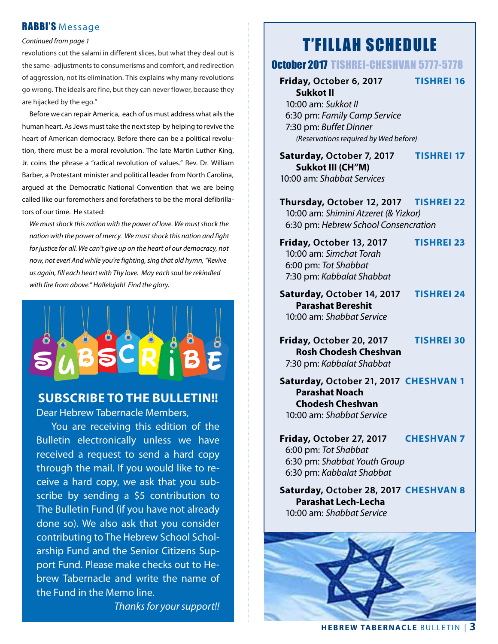## RABBI'S Message

#### *Continued from page 1*

revolutions cut the salami in different slices, but what they deal out is the same–adjustments to consumerisms and comfort, and redirection of aggression, not its elimination. This explains why many revolutions go wrong. The ideals are fine, but they can never flower, because they are hijacked by the ego."

Before we can repair America, each of us must address what ails the human heart. As Jews must take the next step by helping to revive the heart of American democracy. Before there can be a political revolution, there must be a moral revolution. The late Martin Luther King, Jr. coins the phrase a "radical revolution of values." Rev. Dr. William Barber, a Protestant minister and political leader from North Carolina, argued at the Democratic National Convention that we are being called like our foremothers and forefathers to be the moral defibrillators of our time. He stated:

*We must shock this nation with the power of love. We must shock the nation with the power of mercy. We must shock this nation and fight for justice for all. We can't give up on the heart of our democracy, not now, not ever! And while you're fighting, sing that old hymn, "Revive us again, fill each heart with Thy love. May each soul be rekindled with fire from above." Hallelujah! Find the glory.*



# **SUBSCRIBE TO THE BULLETIN!!**

Dear Hebrew Tabernacle Members,

You are receiving this edition of the Bulletin electronically unless we have received a request to send a hard copy through the mail. If you would like to receive a hard copy, we ask that you subscribe by sending a \$5 contribution to The Bulletin Fund (if you have not already done so). We also ask that you consider contributing to The Hebrew School Scholarship Fund and the Senior Citizens Support Fund. Please make checks out to Hebrew Tabernacle and write the name of the Fund in the Memo line.

*Thanks for your support!!*

# T'FILLAH SCHEDULE

## October 2017 TISHREI-CHESHVAN 5777-5778

## **Friday, October 6, 2017 TISHREI 16**

 **Sukkot II** 10:00 am: *Sukkot II* 6:30 pm: *Family Camp Service* 7:30 pm: *Buffet Dinner (Reservations required by Wed before)*

 **Saturday, October 7, 2017 TISHREI 17 Sukkot III (CH"M)** 10:00 am: *Shabbat Services*

 **Thursday, October 12, 2017 TISHREI 22** 10:00 am: *Shimini Atzeret (& Yizkor)* 6:30 pm: *Hebrew School Consencration*

 **Friday, October 13, 2017 TISHREI 23** 10:00 am: *Simchat Torah* 6:00 pm: *Tot Shabbat* 7:30 pm: *Kabbalat Shabbat*

 **Saturday, October 14, 2017 TISHREI 24 Parashat Bereshit** 10:00 am: *Shabbat Service*

- **Friday, October 20, 2017 TISHREI 30 Rosh Chodesh Cheshvan** 7:30 pm: *Kabbalat Shabbat*
- **Saturday, October 21, 2017 CHESHVAN 1 Parashat Noach Chodesh Cheshvan** 10:00 am: *Shabbat Service*

 **Friday, October 27, 2017 CHESHVAN 7** 6:00 pm: *Tot Shabbat* 6:30 pm: *Shabbat Youth Group* 6:30 pm: *Kabbalat Shabbat*

 **Saturday, October 28, 2017 CHESHVAN 8 Parashat Lech-Lecha** 10:00 am: *Shabbat Service*

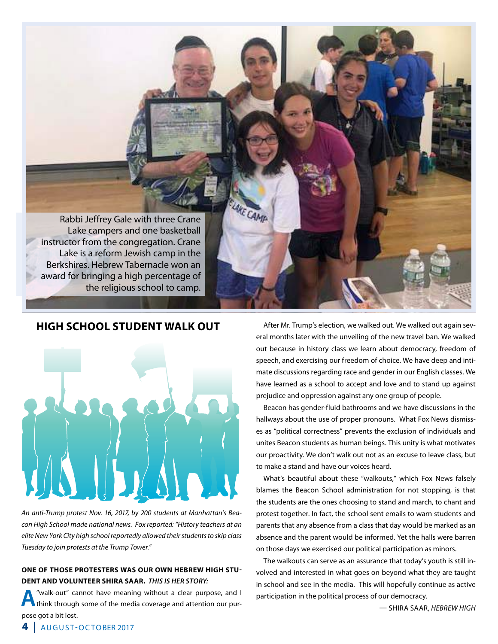Rabbi Jeffrey Gale with three Crane Lake campers and one basketball instructor from the congregation. Crane Lake is a reform Jewish camp in the Berkshires. Hebrew Tabernacle won an award for bringing a high percentage of the religious school to camp.

AKE CAMP

## **HIGH SCHOOL STUDENT WALK OUT**



*An anti-Trump protest Nov. 16, 2017, by 200 students at Manhattan's Beacon High School made national news. Fox reported: "History teachers at an elite New York City high school reportedly allowed their students to skip class Tuesday to join protests at the Trump Tower."*

#### **ONE OF THOSE PROTESTERS WAS OUR OWN HEBREW HIGH STU-DENT AND VOLUNTEER SHIRA SAAR.** *THIS IS HER STORY:*

**A** "walk-out" cannot have meaning without a clear purpose, and I think through some of the media coverage and attention our purpose got a bit lost.

After Mr. Trump's election, we walked out. We walked out again several months later with the unveiling of the new travel ban. We walked out because in history class we learn about democracy, freedom of speech, and exercising our freedom of choice. We have deep and intimate discussions regarding race and gender in our English classes. We have learned as a school to accept and love and to stand up against prejudice and oppression against any one group of people.

Beacon has gender-fluid bathrooms and we have discussions in the hallways about the use of proper pronouns. What Fox News dismisses as "political correctness" prevents the exclusion of individuals and unites Beacon students as human beings. This unity is what motivates our proactivity. We don't walk out not as an excuse to leave class, but to make a stand and have our voices heard.

What's beautiful about these "walkouts," which Fox News falsely blames the Beacon School administration for not stopping, is that the students are the ones choosing to stand and march, to chant and protest together. In fact, the school sent emails to warn students and parents that any absence from a class that day would be marked as an absence and the parent would be informed. Yet the halls were barren on those days we exercised our political participation as minors.

The walkouts can serve as an assurance that today's youth is still involved and interested in what goes on beyond what they are taught in school and see in the media. This will hopefully continue as active participation in the political process of our democracy.

— SHIRA SAAR, *HEBREW HIGH*

**4** | AUGUST-OCTOBER 2017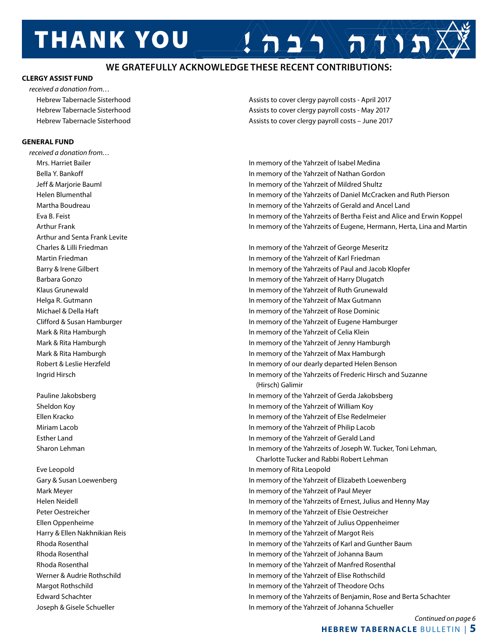# **THANK YOU**

## **WE GRATEFULLY ACKNOWLEDGE THESE RECENT CONTRIBUTIONS:**

#### **CLERGY ASSIST FUND**

*received a donation from…*

#### **GENERAL FUND**

*received a donation from…* Arthur and Senta Frank Levite

 Eve Leopold In memory of Rita Leopold Joseph & Gisele Schueller In memory of the Yahrzeit of Johanna Schueller

Hebrew Tabernacle Sisterhood **Assists to cover clergy payroll costs - April 2017** Assists to cover clergy payroll costs - April 2017 Hebrew Tabernacle Sisterhood **Assists to cover clergy payroll costs - May 2017** Assists to cover clergy payroll costs - May 2017 Hebrew Tabernacle Sisterhood **Assists to cover clergy payroll costs – June 2017** Assists to cover clergy payroll costs – June 2017

 $\mathcal{L} \cap \Delta \setminus \mathcal{L} \setminus \mathcal{L}$ 

 Mrs. Harriet Bailer In memory of the Yahrzeit of Isabel Medina Bella Y. Bankoff In memory of the Yahrzeit of Nathan Gordon Jeff & Marjorie Bauml In memory of the Yahrzeit of Mildred Shultz Helen Blumenthal In memory of the Yahrzeits of Daniel McCracken and Ruth Pierson Martha Boudreau In memory of the Yahrzeits of Gerald and Ancel Land Eva B. Feist In memory of the Yahrzeits of Bertha Feist and Alice and Erwin Koppel Arthur Frank In memory of the Yahrzeits of Eugene, Hermann, Herta, Lina and Martin

 Charles & Lilli Friedman In memory of the Yahrzeit of George Meseritz Martin Friedman In memory of the Yahrzeit of Karl Friedman Barry & Irene Gilbert **In memory of the Yahrzeits of Paul and Jacob Klopfer** In memory of the Yahrzeits of Paul and Jacob Klopfer Barbara Gonzo In memory of the Yahrzeit of Harry Dlugatch Klaus Grunewald **In memory of the Yahrzeit of Ruth Grunewald** In memory of the Yahrzeit of Ruth Grunewald Helga R. Gutmann In memory of the Yahrzeit of Max Gutmann Michael & Della Haft In memory of the Yahrzeit of Rose Dominic Clifford & Susan Hamburger In memory of the Yahrzeit of Eugene Hamburger Mark & Rita Hamburgh **In memory of the Yahrzeit of Celia Klein**  Mark & Rita Hamburgh In memory of the Yahrzeit of Jenny Hamburgh Mark & Rita Hamburgh In memory of the Yahrzeit of Max Hamburgh Robert & Leslie Herzfeld In memory of our dearly departed Helen Benson Ingrid Hirsch In memory of the Yahrzeits of Frederic Hirsch and Suzanne (Hirsch) Galimir Pauline Jakobsberg In memory of the Yahrzeit of Gerda Jakobsberg Sheldon Koy In memory of the Yahrzeit of William Koy Ellen Kracko In memory of the Yahrzeit of Else Redelmeier Miriam Lacob In memory of the Yahrzeit of Philip Lacob Esther Land In memory of the Yahrzeit of Gerald Land Sharon Lehman **In memory of the Yahrzeits of Joseph W. Tucker, Toni Lehman**, Charlotte Tucker and Rabbi Robert Lehman Gary & Susan Loewenberg **In memory of the Yahrzeit of Elizabeth Loewenberg** In memory of the Yahrzeit of Elizabeth Loewenberg Mark Meyer **In memory of the Yahrzeit of Paul Meyer** In memory of the Yahrzeit of Paul Meyer Helen Neidell In memory of the Yahrzeits of Ernest, Julius and Henny May Peter Oestreicher In memory of the Yahrzeit of Elsie Oestreicher Ellen Oppenheime In memory of the Yahrzeit of Julius Oppenheimer Harry & Ellen Nakhnikian Reis In memory of the Yahrzeit of Margot Reis Rhoda Rosenthal **In memory of the Yahrzeits of Karl and Gunther Baum** In memory of the Yahrzeits of Karl and Gunther Baum Rhoda Rosenthal In memory of the Yahrzeit of Johanna Baum Rhoda Rosenthal In memory of the Yahrzeit of Manfred Rosenthal Werner & Audrie Rothschild In memory of the Yahrzeit of Elise Rothschild Margot Rothschild In memory of the Yahrzeit of Theodore Ochs Edward Schachter In memory of the Yahrzeits of Benjamin, Rose and Berta Schachter

> *Continued on page 6* **HEBREW TABERNACLE** BULLETIN | **5**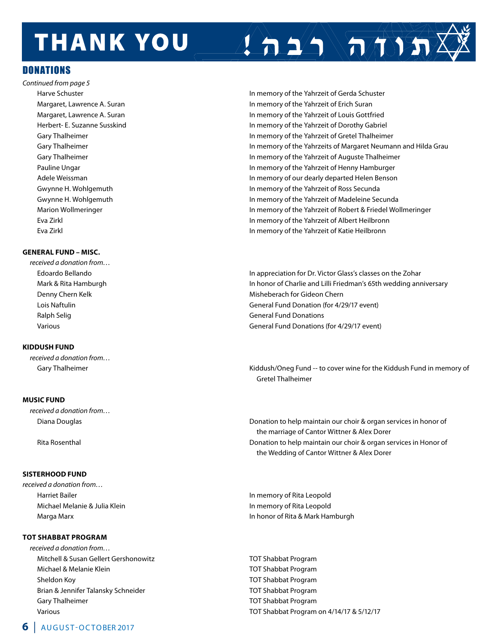# **THANK YOU**

## DONATIONS

*Continued from page 5*

#### **GENERAL FUND – MISC.**

*received a donation from…*

#### **KIDDUSH FUND**

*received a donation from…*

#### **MUSIC FUND**

*received a donation from…* 

#### **SISTERHOOD FUND**

*received a donation from…* 

#### **TOT SHABBAT PROGRAM**

*received a donation from…* Mitchell & Susan Gellert Gershonowitz **TOT Shabbat Program**  Michael & Melanie Klein TOT Shabbat Program Sheldon Koy TOT Shabbat Program Brian & Jennifer Talansky Schneider Texture TOT Shabbat Program Gary Thalheimer TOT Shabbat Program

 Harve Schuster In memory of the Yahrzeit of Gerda Schuster Margaret, Lawrence A. Suran In memory of the Yahrzeit of Erich Suran In memory of the Yahrzeit of Erich Suran Margaret, Lawrence A. Suran In memory of the Yahrzeit of Louis Gottfried Herbert- E. Suzanne Susskind In memory of the Yahrzeit of Dorothy Gabriel Gary Thalheimer **In memory of the Yahrzeit of Gretel Thalheimer** In memory of the Yahrzeit of Gretel Thalheimer Gary Thalheimer **In memory of the Yahrzeits of Margaret Neumann and Hilda Grau** Gary Thalheimer **In memory of the Yahrzeit of Auguste Thalheimer** In memory of the Yahrzeit of Auguste Thalheimer Pauline Ungar **In memory of the Yahrzeit of Henny Hamburger** In memory of the Yahrzeit of Henny Hamburger Adele Weissman **In memory of our dearly departed Helen Benson** Benson Gwynne H. Wohlgemuth **In memory of the Yahrzeit of Ross Secunda** In memory of the Yahrzeit of Ross Secunda Gwynne H. Wohlgemuth **In memory of the Yahrzeit of Madeleine Secunda** In memory of the Yahrzeit of Madeleine Secunda Marion Wollmeringer **In memory of the Yahrzeit of Robert & Friedel Wollmeringer In memory of the Yahrzeit of Robert & Friedel Wollmeringer**  Eva Zirkl In memory of the Yahrzeit of Albert Heilbronn Eva Zirkl In memory of the Yahrzeit of Katie Heilbronn

 $2 \Delta \sqrt{\pi N} \sqrt{N}$ 

 Edoardo Bellando In appreciation for Dr. Victor Glass's classes on the Zohar Mark & Rita Hamburgh In honor of Charlie and Lilli Friedman's 65th wedding anniversary Denny Chern Kelk Misheberach for Gideon Chern Lois Naftulin General Fund Donation (for 4/29/17 event) Ralph Selig General Fund Donations and Ralph Selig General Fund Donations and Ralph Selig General Fund Donations Various General Fund Donations (for 4/29/17 event)

Gary Thalheimer **Kiddush/Oneg Fund -- to cover wine for the Kiddush Fund in memory of** Kiddush Fund in memory of Gretel Thalheimer

 Diana Douglas Donation to help maintain our choir & organ services in honor of the marriage of Cantor Wittner & Alex Dorer Rita Rosenthal Donation to help maintain our choir & organ services in Honor of the Wedding of Cantor Wittner & Alex Dorer

 Harriet Bailer In memory of Rita Leopold Michael Melanie & Julia Klein In memory of Rita Leopold Marga Marx **In honor of Rita & Mark Hamburgh** Marga Marx In honor of Rita & Mark Hamburgh

Various TOT Shabbat Program on 4/14/17 & 5/12/17

### **6** | AUGUST-OCTOBER 2017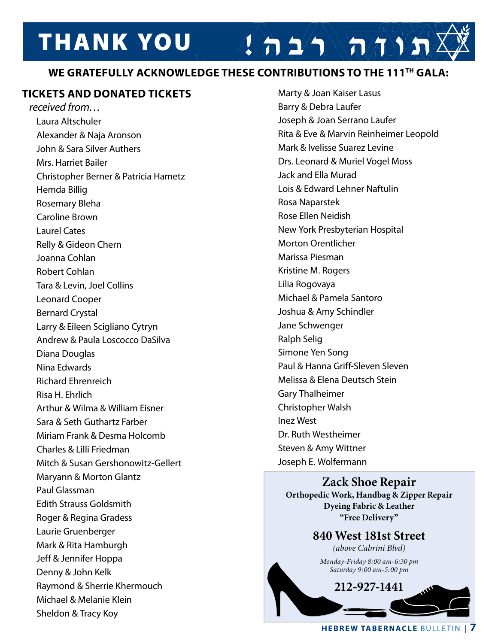# **THANK YOU**

# **WE GRATEFULLY ACKNOWLEDGE THESE CONTRIBUTIONS TO THE 111TH GALA:**

## **TICKETS AND DONATED TICKETS**

*received from…* Laura Altschuler Alexander & Naja Aronson John & Sara Silver Authers Mrs. Harriet Bailer Christopher Berner & Patricia Hametz Hemda Billig Rosemary Bleha Caroline Brown Laurel Cates Relly & Gideon Chern Joanna Cohlan Robert Cohlan Tara & Levin, Joel Collins Leonard Cooper Bernard Crystal Larry & Eileen Scigliano Cytryn Andrew & Paula Loscocco DaSilva Diana Douglas Nina Edwards Richard Ehrenreich Risa H. Ehrlich Arthur & Wilma & William Eisner Sara & Seth Guthartz Farber Miriam Frank & Desma Holcomb Charles & Lilli Friedman Mitch & Susan Gershonowitz-Gellert Maryann & Morton Glantz Paul Glassman Edith Strauss Goldsmith Roger & Regina Gradess Laurie Gruenberger Mark & Rita Hamburgh Jeff & Jennifer Hoppa Denny & John Kelk Raymond & Sherrie Khermouch Michael & Melanie Klein Sheldon & Tracy Koy

 Marty & Joan Kaiser Lasus Barry & Debra Laufer Joseph & Joan Serrano Laufer Rita & Eve & Marvin Reinheimer Leopold Mark & Ivelisse Suarez Levine Drs. Leonard & Muriel Vogel Moss Jack and Ella Murad Lois & Edward Lehner Naftulin Rosa Naparstek Rose Ellen Neidish New York Presbyterian Hospital Morton Orentlicher Marissa Piesman Kristine M. Rogers Lilia Rogovaya Michael & Pamela Santoro Joshua & Amy Schindler Jane Schwenger Ralph Selig Simone Yen Song Paul & Hanna Griff-Sleven Sleven Melissa & Elena Deutsch Stein Gary Thalheimer Christopher Walsh Inez West Dr. Ruth Westheimer Steven & Amy Wittner Joseph E. Wolfermann

 $2527$ 

### **Zack Shoe Repair Orthopedic Work, Handbag & Zipper Repair Dyeing Fabric & Leather "Free Delivery"**

**840 West 181st Street** *(above Cabrini Blvd) Monday-Friday 8:00 am-6:30 pm Saturday 9:00 am-5:00 pm*

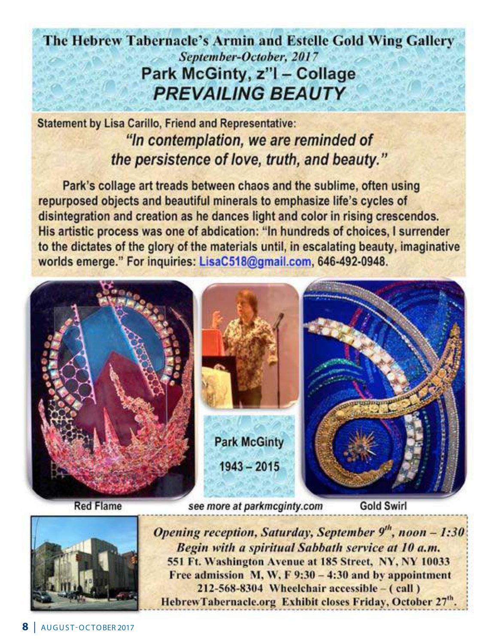# The Hebrew Tabernacle's Armin and Estelle Gold Wing Gallery September-October, 2017 Park McGinty, z"I - Collage **PREVAILING BEAUTY**

**Statement by Lisa Carillo, Friend and Representative:** "In contemplation, we are reminded of the persistence of love, truth, and beauty."

Park's collage art treads between chaos and the sublime, often using repurposed objects and beautiful minerals to emphasize life's cycles of disintegration and creation as he dances light and color in rising crescendos. His artistic process was one of abdication: "In hundreds of choices, I surrender to the dictates of the glory of the materials until, in escalating beauty, imaginative worlds emerge." For inquiries: LisaC518@gmail.com, 646-492-0948.





Opening reception, Saturday, September 9th, noon - 1:30 Begin with a spiritual Sabbath service at 10 a.m. 551 Ft. Washington Avenue at 185 Street, NY, NY 10033 Free admission M, W, F  $9:30 - 4:30$  and by appointment 212-568-8304 Wheelchair accessible – (call) HebrewTabernacle.org Exhibit closes Friday, October 27<sup>th</sup>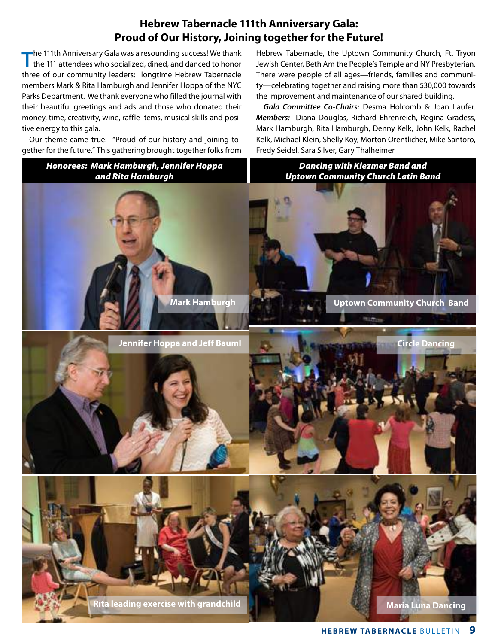## **Hebrew Tabernacle 111th Anniversary Gala: Proud of Our History, Joining together for the Future!**

The 111th Anniversary Gala was a resounding success! We thank<br>the 111 attendees who socialized, dined, and danced to honor three of our community leaders: longtime Hebrew Tabernacle members Mark & Rita Hamburgh and Jennifer Hoppa of the NYC Parks Department. We thank everyone who filled the journal with their beautiful greetings and ads and those who donated their money, time, creativity, wine, raffle items, musical skills and positive energy to this gala.

Our theme came true: "Proud of our history and joining together for the future." This gathering brought together folks from Hebrew Tabernacle, the Uptown Community Church, Ft. Tryon Jewish Center, Beth Am the People's Temple and NY Presbyterian. There were people of all ages—friends, families and community—celebrating together and raising more than \$30,000 towards the improvement and maintenance of our shared building.

*Gala Committee Co-Chairs:* Desma Holcomb & Joan Laufer. *Members:* Diana Douglas, Richard Ehrenreich, Regina Gradess, Mark Hamburgh, Rita Hamburgh, Denny Kelk, John Kelk, Rachel Kelk, Michael Klein, Shelly Koy, Morton Orentlicher, Mike Santoro, Fredy Seidel, Sara Silver, Gary Thalheimer

**Maria Luna Dancing Circle Dancing Mark Hamburgh Uptown Community Church Band Jennifer Hoppa and Jeff Bauml Rita leading exercise with grandchild** *Dancing with Klezmer Band and Uptown Community Church Latin Band Honorees: Mark Hamburgh, Jennifer Hoppa and Rita Hamburgh*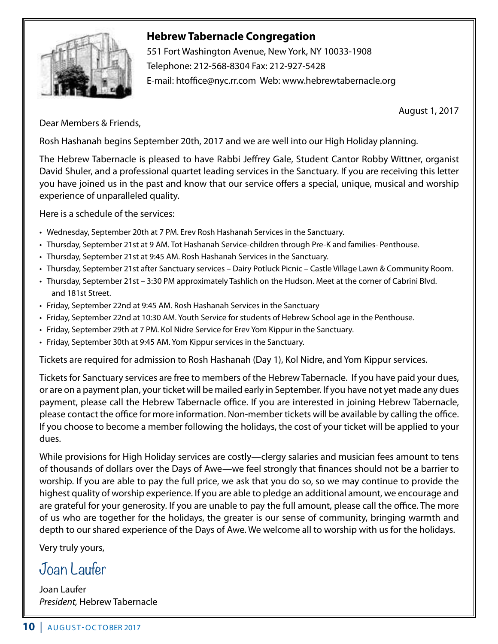

# **Hebrew Tabernacle Congregation**

 551 Fort Washington Avenue, New York, NY 10033-1908 Telephone: 212-568-8304 Fax: 212-927-5428 E-mail: htoffice@nyc.rr.com Web: www.hebrewtabernacle.org

August 1, 2017

Dear Members & Friends,

Rosh Hashanah begins September 20th, 2017 and we are well into our High Holiday planning.

The Hebrew Tabernacle is pleased to have Rabbi Jeffrey Gale, Student Cantor Robby Wittner, organist David Shuler, and a professional quartet leading services in the Sanctuary. If you are receiving this letter you have joined us in the past and know that our service offers a special, unique, musical and worship experience of unparalleled quality.

Here is a schedule of the services:

- • Wednesday, September 20th at 7 PM. Erev Rosh Hashanah Services in the Sanctuary.
- • Thursday, September 21st at 9 AM. Tot Hashanah Service-children through Pre-K and families- Penthouse.
- Thursday, September 21st at 9:45 AM. Rosh Hashanah Services in the Sanctuary.
- • Thursday, September 21st after Sanctuary services Dairy Potluck Picnic Castle Village Lawn & Community Room.
- Thursday, September 21st 3:30 PM approximately Tashlich on the Hudson. Meet at the corner of Cabrini Blvd. and 181st Street.
- Friday, September 22nd at 9:45 AM. Rosh Hashanah Services in the Sanctuary
- • Friday, September 22nd at 10:30 AM. Youth Service for students of Hebrew School age in the Penthouse.
- • Friday, September 29th at 7 PM. Kol Nidre Service for Erev Yom Kippur in the Sanctuary.
- Friday, September 30th at 9:45 AM. Yom Kippur services in the Sanctuary.

Tickets are required for admission to Rosh Hashanah (Day 1), Kol Nidre, and Yom Kippur services.

Tickets for Sanctuary services are free to members of the Hebrew Tabernacle. If you have paid your dues, or are on a payment plan, your ticket will be mailed early in September. If you have not yet made any dues payment, please call the Hebrew Tabernacle office. If you are interested in joining Hebrew Tabernacle, please contact the office for more information. Non-member tickets will be available by calling the office. If you choose to become a member following the holidays, the cost of your ticket will be applied to your dues.

While provisions for High Holiday services are costly—clergy salaries and musician fees amount to tens of thousands of dollars over the Days of Awe—we feel strongly that finances should not be a barrier to worship. If you are able to pay the full price, we ask that you do so, so we may continue to provide the highest quality of worship experience. If you are able to pledge an additional amount, we encourage and are grateful for your generosity. If you are unable to pay the full amount, please call the office. The more of us who are together for the holidays, the greater is our sense of community, bringing warmth and depth to our shared experience of the Days of Awe. We welcome all to worship with us for the holidays.

Very truly yours,

# Joan Laufer

Joan Laufer *President,* Hebrew Tabernacle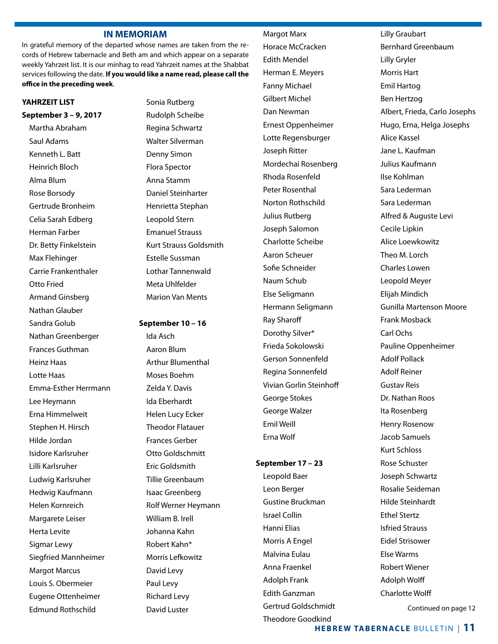#### **IN MEMORIAM**

In grateful memory of the departed whose names are taken from the records of Hebrew tabernacle and Beth am and which appear on a separate weekly Yahrzeit list. It is our minhag to read Yahrzeit names at the Shabbat services following the date. **If you would like a name read, please call the office in the preceding week**.

#### **YAHRZEIT LIST**

**September 3 – 9, 2017** Martha Abraham Saul Adams Kenneth L. Batt Heinrich Bloch Alma Blum Rose Borsody Gertrude Bronheim Celia Sarah Edberg Herman Farber Dr. Betty Finkelstein Max Flehinger Carrie Frankenthaler Otto Fried Armand Ginsberg Nathan Glauber Sandra Golub Nathan Greenberger Frances Guthman Heinz Haas Lotte Haas Emma-Esther Herrmann Lee Heymann Erna Himmelweit Stephen H. Hirsch Hilde Jordan Isidore Karlsruher Lilli Karlsruher Ludwig Karlsruher Hedwig Kaufmann Helen Kornreich Margarete Leiser Herta Levite Sigmar Lewy Siegfried Mannheimer Margot Marcus Louis S. Obermeier Eugene Ottenheimer Edmund Rothschild

Sonia Rutberg Rudolph Scheibe Regina Schwartz Walter Silverman Denny Simon Flora Spector Anna Stamm Daniel Steinharter Henrietta Stephan Leopold Stern Emanuel Strauss Kurt Strauss Goldsmith Estelle Sussman Lothar Tannenwald Meta Uhlfelder Marion Van Ments

#### **September 10 – 16**

Ida Asch Aaron Blum Arthur Blumenthal Moses Boehm Zelda Y. Davis Ida Eberhardt Helen Lucy Ecker Theodor Flatauer Frances Gerber Otto Goldschmitt Eric Goldsmith Tillie Greenbaum Isaac Greenberg Rolf Werner Heymann William B. Irell Johanna Kahn Robert Kahn\* Morris Lefkowitz David Levy Paul Levy Richard Levy David Luster

## Margot Marx Horace McCracken Edith Mendel Herman E. Meyers Fanny Michael Gilbert Michel Dan Newman Ernest Oppenheimer Lotte Regensburger Joseph Ritter Mordechai Rosenberg Rhoda Rosenfeld Peter Rosenthal Norton Rothschild Julius Rutberg Joseph Salomon Charlotte Scheibe Aaron Scheuer Sofie Schneider Naum Schub Else Seligmann Hermann Seligmann Ray Sharoff Dorothy Silver\* Frieda Sokolowski Gerson Sonnenfeld Regina Sonnenfeld Vivian Gorlin Steinhoff George Stokes George Walzer Emil Weill

#### **September 17 – 23**

Erna Wolf

Leopold Baer Leon Berger Gustine Bruckman Israel Collin Hanni Elias Morris A Engel Malvina Eulau Anna Fraenkel Adolph Frank Edith Ganzman Gertrud Goldschmidt Theodore Goodkind

Lilly Graubart Bernhard Greenbaum Lilly Gryler Morris Hart Emil Hartog Ben Hertzog Albert, Frieda, Carlo Josephs Hugo, Erna, Helga Josephs Alice Kassel Jane L. Kaufman Julius Kaufmann Ilse Kohlman Sara Lederman Sara Lederman Alfred & Auguste Levi Cecile Lipkin Alice Loewkowitz Theo M. Lorch Charles Lowen Leopold Meyer Elijah Mindich Gunilla Martenson Moore Frank Mosback Carl Ochs Pauline Oppenheimer Adolf Pollack Adolf Reiner Gustav Reis Dr. Nathan Roos Ita Rosenberg Henry Rosenow Jacob Samuels Kurt Schloss Rose Schuster Joseph Schwartz Rosalie Seideman Hilde Steinhardt Ethel Stertz Isfried Strauss Eidel Strisower Else Warms Robert Wiener Adolph Wolff Charlotte Wolff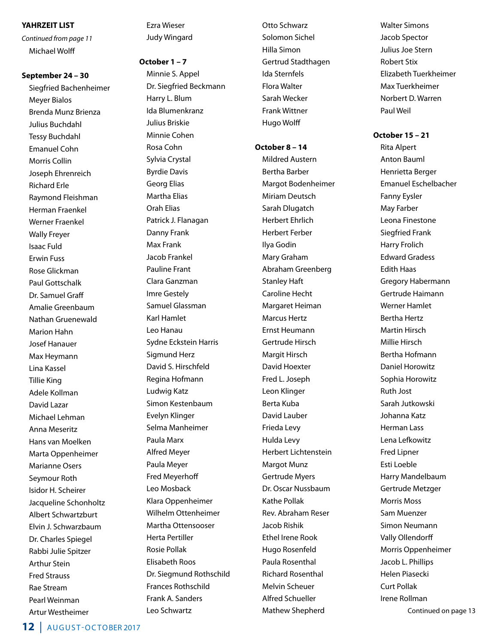#### **YAHRZEIT LIST**

*Continued from page 11* Michael Wolff

## **September 24 – 30**

Siegfried Bachenheimer Meyer Bialos Brenda Munz Brienza Julius Buchdahl Tessy Buchdahl Emanuel Cohn Morris Collin Joseph Ehrenreich Richard Erle Raymond Fleishman Herman Fraenkel Werner Fraenkel Wally Freyer Isaac Fuld Erwin Fuss Rose Glickman Paul Gottschalk Dr. Samuel Graff Amalie Greenbaum Nathan Gruenewald Marion Hahn Josef Hanauer Max Heymann Lina Kassel Tillie King Adele Kollman David Lazar Michael Lehman Anna Meseritz Hans van Moelken Marta Oppenheimer Marianne Osers Seymour Roth Isidor H. Scheirer Jacqueline Schonholtz Albert Schwartzburt Elvin J. Schwarzbaum Dr. Charles Spiegel Rabbi Julie Spitzer Arthur Stein Fred Strauss Rae Stream Pearl Weinman Artur Westheimer

Ezra Wieser Judy Wingard

#### **October 1 – 7**

Minnie S. Appel Dr. Siegfried Beckmann Harry L. Blum Ida Blumenkranz Julius Briskie Minnie Cohen Rosa Cohn Sylvia Crystal Byrdie Davis Georg Elias Martha Elias Orah Elias Patrick J. Flanagan Danny Frank Max Frank Jacob Frankel Pauline Frant Clara Ganzman Imre Gestely Samuel Glassman Karl Hamlet Leo Hanau Sydne Eckstein Harris Sigmund Herz David S. Hirschfeld Regina Hofmann Ludwig Katz Simon Kestenbaum Evelyn Klinger Selma Manheimer Paula Marx Alfred Meyer Paula Meyer Fred Meyerhoff Leo Mosback Klara Oppenheimer Wilhelm Ottenheimer Martha Ottensooser Herta Pertiller Rosie Pollak Elisabeth Roos Dr. Siegmund Rothschild Frances Rothschild Frank A. Sanders Leo Schwartz

Otto Schwarz Solomon Sichel Hilla Simon Gertrud Stadthagen Ida Sternfels Flora Walter Sarah Wecker Frank Wittner Hugo Wolff

#### **October 8 – 14**

Mildred Austern Bertha Barber Margot Bodenheimer Miriam Deutsch Sarah Dlugatch Herbert Ehrlich Herbert Ferber Ilya Godin Mary Graham Abraham Greenberg Stanley Haft Caroline Hecht Margaret Heiman Marcus Hertz Ernst Heumann Gertrude Hirsch Margit Hirsch David Hoexter Fred L. Joseph Leon Klinger Berta Kuba David Lauber Frieda Levy Hulda Levy Herbert Lichtenstein Margot Munz Gertrude Myers Dr. Oscar Nussbaum Kathe Pollak Rev. Abraham Reser Jacob Rishik Ethel Irene Rook Hugo Rosenfeld Paula Rosenthal Richard Rosenthal Melvin Scheuer Alfred Schueller Mathew Shepherd

Walter Simons Jacob Spector Julius Joe Stern Robert Stix Elizabeth Tuerkheimer Max Tuerkheimer Norbert D. Warren Paul Weil

**October 15 – 21**

Rita Alpert Anton Bauml Henrietta Berger Emanuel Eschelbacher Fanny Eysler May Farber Leona Finestone Siegfried Frank Harry Frolich Edward Gradess Edith Haas Gregory Habermann Gertrude Haimann Werner Hamlet Bertha Hertz Martin Hirsch Millie Hirsch Bertha Hofmann Daniel Horowitz Sophia Horowitz Ruth Jost Sarah Jutkowski Johanna Katz Herman Lass Lena Lefkowitz Fred Lipner Esti Loeble Harry Mandelbaum Gertrude Metzger Morris Moss Sam Muenzer Simon Neumann Vally Ollendorff Morris Oppenheimer Jacob L. Phillips Helen Piasecki Curt Pollak Irene Rollman Continued on page 13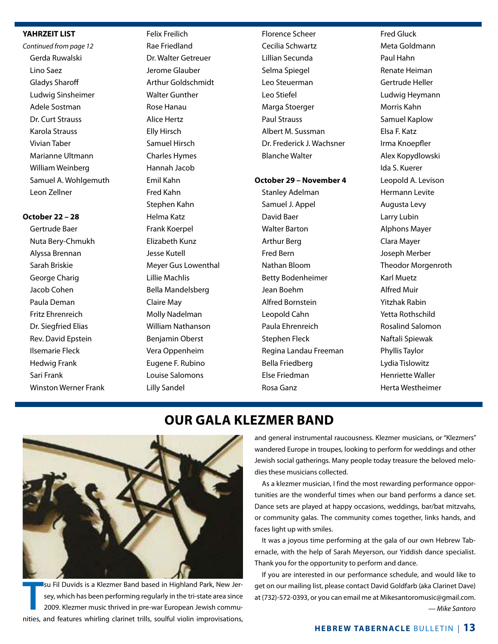#### **YAHRZEIT LIST**

*Continued from page 12* Gerda Ruwalski Lino Saez Gladys Sharoff Ludwig Sinsheimer Adele Sostman Dr. Curt Strauss Karola Strauss Vivian Taber Marianne Ultmann William Weinberg Samuel A. Wohlgemuth Leon Zellner

#### **October 22 – 28**

Gertrude Baer Nuta Bery-Chmukh Alyssa Brennan Sarah Briskie George Charig Jacob Cohen Paula Deman Fritz Ehrenreich Dr. Siegfried Elias Rev. David Epstein Ilsemarie Fleck Hedwig Frank Sari Frank Winston Werner Frank Felix Freilich Rae Friedland Dr. Walter Getreuer Jerome Glauber Arthur Goldschmidt Walter Gunther Rose Hanau Alice Hertz Elly Hirsch Samuel Hirsch Charles Hymes Hannah Jacob Emil Kahn Fred Kahn Stephen Kahn Helma Katz Frank Koerpel Elizabeth Kunz Jesse Kutell Meyer Gus Lowenthal Lillie Machlis Bella Mandelsberg Claire May Molly Nadelman William Nathanson Benjamin Oberst Vera Oppenheim Eugene F. Rubino Louise Salomons Lilly Sandel

Florence Scheer Cecilia Schwartz Lillian Secunda Selma Spiegel Leo Steuerman Leo Stiefel Marga Stoerger Paul Strauss Albert M. Sussman Dr. Frederick J. Wachsner Blanche Walter

#### **October 29 – November 4**

Stanley Adelman Samuel J. Appel David Baer Walter Barton Arthur Berg Fred Bern Nathan Bloom Betty Bodenheimer Jean Boehm Alfred Bornstein Leopold Cahn Paula Ehrenreich Stephen Fleck Regina Landau Freeman Bella Friedberg Else Friedman Rosa Ganz

Fred Gluck Meta Goldmann Paul Hahn Renate Heiman Gertrude Heller Ludwig Heymann Morris Kahn Samuel Kaplow Elsa F. Katz Irma Knoepfler Alex Kopydlowski Ida S. Kuerer Leopold A. Levison Hermann Levite Augusta Levy Larry Lubin Alphons Mayer Clara Mayer Joseph Merber Theodor Morgenroth Karl Muetz Alfred Muir Yitzhak Rabin Yetta Rothschild Rosalind Salomon Naftali Spiewak Phyllis Taylor Lydia Tislowitz Henriette Waller Herta Westheimer

# **OUR GALA KLEZMER BAND**



**T** su Fil Duvids is a Klezmer Band based in Highland Park, New Jersey, which has been performing regularly in the tri-state area since 2009. Klezmer music thrived in pre-war European Jewish communities, and features whirling clarinet trills, soulful violin improvisations, and general instrumental raucousness. Klezmer musicians, or "Klezmers" wandered Europe in troupes, looking to perform for weddings and other Jewish social gatherings. Many people today treasure the beloved melodies these musicians collected.

As a klezmer musician, I find the most rewarding performance opportunities are the wonderful times when our band performs a dance set. Dance sets are played at happy occasions, weddings, bar/bat mitzvahs, or community galas. The community comes together, links hands, and faces light up with smiles.

It was a joyous time performing at the gala of our own Hebrew Tabernacle, with the help of Sarah Meyerson, our Yiddish dance specialist. Thank you for the opportunity to perform and dance.

If you are interested in our performance schedule, and would like to get on our mailing list, please contact David Goldfarb (aka Clarinet Dave) at (732)-572-0393, or you can email me at Mikesantoromusic@gmail.com. *— Mike Santoro*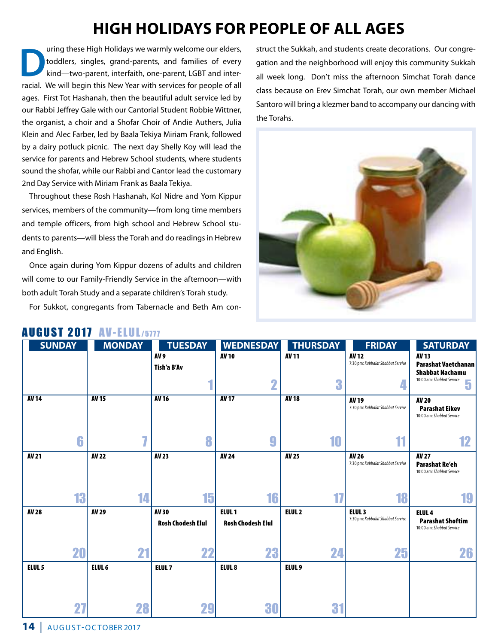# **HIGH HOLIDAYS FOR PEOPLE OF ALL AGES**

uring these High Holidays we warmly welcome our elders,<br>toddlers, singles, grand-parents, and families of every<br>kind—two-parent, interfaith, one-parent, LGBT and intertoddlers, singles, grand-parents, and families of every kind—two-parent, interfaith, one-parent, LGBT and interracial. We will begin this New Year with services for people of all ages. First Tot Hashanah, then the beautiful adult service led by our Rabbi Jeffrey Gale with our Cantorial Student Robbie Wittner, the organist, a choir and a Shofar Choir of Andie Authers, Julia Klein and Alec Farber, led by Baala Tekiya Miriam Frank, followed by a dairy potluck picnic. The next day Shelly Koy will lead the service for parents and Hebrew School students, where students sound the shofar, while our Rabbi and Cantor lead the customary 2nd Day Service with Miriam Frank as Baala Tekiya.

Throughout these Rosh Hashanah, Kol Nidre and Yom Kippur services, members of the community—from long time members and temple officers, from high school and Hebrew School students to parents—will bless the Torah and do readings in Hebrew and English.

Once again during Yom Kippur dozens of adults and children will come to our Family-Friendly Service in the afternoon—with both adult Torah Study and a separate children's Torah study.

For Sukkot, congregants from Tabernacle and Beth Am con-

struct the Sukkah, and students create decorations. Our congregation and the neighborhood will enjoy this community Sukkah all week long. Don't miss the afternoon Simchat Torah dance class because on Erev Simchat Torah, our own member Michael Santoro will bring a klezmer band to accompany our dancing with the Torahs.



| <b>AV 13</b><br><b>Parashat Vaetchanan</b><br><b>Shabbat Nachamu</b><br>10:00 am: Shabbat Service<br>5<br><b>AV 20</b><br><b>Parashat Eikev</b><br>10:00 am: Shabbat Service |
|------------------------------------------------------------------------------------------------------------------------------------------------------------------------------|
|                                                                                                                                                                              |
|                                                                                                                                                                              |
|                                                                                                                                                                              |
|                                                                                                                                                                              |
| 12                                                                                                                                                                           |
| <b>AV 27</b><br><b>Parashat Re'eh</b><br>10:00 am: Shabbat Service                                                                                                           |
|                                                                                                                                                                              |
| 19                                                                                                                                                                           |
| ELUL <sub>4</sub>                                                                                                                                                            |
| <b>Parashat Shoftim</b><br>10:00 am: Shabbat Service                                                                                                                         |
| 26                                                                                                                                                                           |
|                                                                                                                                                                              |
|                                                                                                                                                                              |
|                                                                                                                                                                              |
|                                                                                                                                                                              |

### AUGUST 2017 AV-ELUL/5777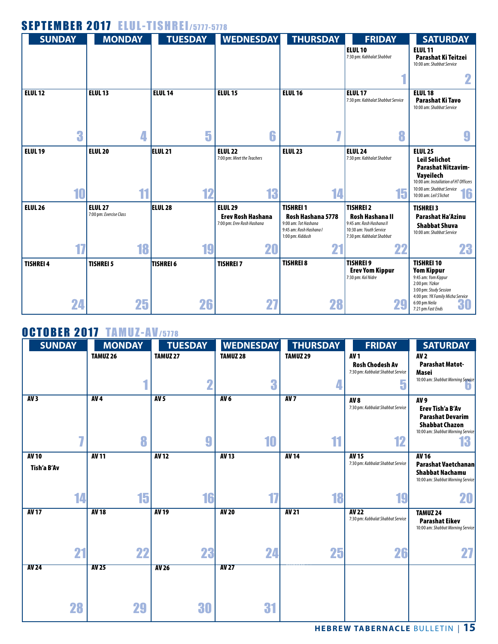| <b>SEPTEMBER 2017 ELUL-TISHREI/5777-5778</b> |                                           |                    |                                                                          |                                                                                                              |                                                                                                                                |                                                                                                                                                                                            |
|----------------------------------------------|-------------------------------------------|--------------------|--------------------------------------------------------------------------|--------------------------------------------------------------------------------------------------------------|--------------------------------------------------------------------------------------------------------------------------------|--------------------------------------------------------------------------------------------------------------------------------------------------------------------------------------------|
| <b>SUNDAY</b>                                | <b>MONDAY</b>                             | <b>TUESDAY</b>     | <b>WEDNESDAY</b>                                                         | <b>THURSDAY</b>                                                                                              | <b>FRIDAY</b>                                                                                                                  | <b>SATURDAY</b>                                                                                                                                                                            |
|                                              |                                           |                    |                                                                          |                                                                                                              | <b>ELUL 10</b><br>7:30 pm: Kabbalat Shabbat                                                                                    | <b>ELUL 11</b><br>Parashat Ki Teitzei<br>10:00 am: Shabbat Service                                                                                                                         |
|                                              |                                           |                    |                                                                          |                                                                                                              |                                                                                                                                |                                                                                                                                                                                            |
| <b>ELUL 12</b>                               | <b>ELUL 13</b>                            | <b>ELUL 14</b>     | <b>ELUL 15</b>                                                           | <b>ELUL 16</b>                                                                                               | <b>ELUL 17</b><br>7:30 pm: Kabbalat Shabbat Service                                                                            | <b>ELUL 18</b><br>Parashat Ki Tavo<br>10:00 am: Shabbat Service                                                                                                                            |
| 3                                            | 4                                         | 5                  | 6                                                                        |                                                                                                              | 8                                                                                                                              |                                                                                                                                                                                            |
| <b>ELUL 19</b>                               | <b>ELUL 20</b>                            | ELUL <sub>21</sub> | <b>ELUL 22</b><br>7:00 pm: Meet the Teachers                             | <b>ELUL 23</b>                                                                                               | <b>ELUL 24</b><br>7:30 pm: Kabbalat Shabbat                                                                                    | <b>ELUL 25</b><br><b>Leil Selichot</b><br><b>Parashat Nitzavim-</b><br><b>Vaveilech</b><br>10:00 am: Installation of HT Officers<br>10:00 am: Shabbat Service                              |
| 10                                           | 11                                        | 12                 | 13                                                                       | 14                                                                                                           | 15                                                                                                                             | 16<br>10:00 am: Leil S'lichot                                                                                                                                                              |
| <b>ELUL 26</b>                               | <b>ELUL 27</b><br>7:00 pm: Exercise Class | <b>ELUL 28</b>     | <b>ELUL 29</b><br><b>Erev Rosh Hashana</b><br>7:00 pm: Erev Rosh Hashana | <b>TISHREI 1</b><br>Rosh Hashana 5778<br>9:00 am: Tot Hashana<br>9:45 am: Rosh Hashana I<br>1:00 pm: Kiddush | <b>TISHREI 2</b><br><b>Rosh Hashana II</b><br>9:45 am: Rosh Hashana II<br>10:30 am: Youth Service<br>7:30 pm: Kabbalat Shabbat | <b>TISHREI 3</b><br><b>Parashat Ha'Azinu</b><br><b>Shabbat Shuva</b><br>10:00 am: Shabbat Service                                                                                          |
|                                              | 18                                        | 19                 | 20                                                                       | 21                                                                                                           | 22                                                                                                                             | 23                                                                                                                                                                                         |
| <b>TISHREI 4</b><br>24                       | <b>TISHREI 5</b><br>25                    | TISHREI 6<br>26    | <b>TISHREI 7</b><br>27                                                   | <b>TISHREI 8</b><br>28                                                                                       | <b>TISHREI 9</b><br><b>Erev Yom Kippur</b><br>7:30 pm: Kol Nidre<br>29                                                         | <b>TISHREI 10</b><br><b>Yom Kippur</b><br>9:45 am: Yom Kippur<br>2:00 pm: Yizkor<br>3:00 pm: Study Session<br>4:00 pm: YK Family Micha Service<br>6:00 pm Neila<br>30<br>7:21 pm Fast Ends |

# OCTOBER 2017 TAMUZ-AV/5778

| <b>SUNDAY</b>               | <b>MONDAY</b> | <b>TUESDAY</b>       | <b>WEDNESDAY</b> | <b>THURSDAY</b> | <b>FRIDAY</b>                                                                              | <b>SATURDAY</b>                                                                                                                   |
|-----------------------------|---------------|----------------------|------------------|-----------------|--------------------------------------------------------------------------------------------|-----------------------------------------------------------------------------------------------------------------------------------|
|                             | TAMUZ 26      | TAMUZ 27             | TAMUZ 28<br>3    | TAMUZ 29        | <b>AV1</b><br><b>Rosh Chodesh Av</b><br>7:30 pm: Kabbalat Shabbat Service<br><b>F</b><br>п | <b>AV2</b><br><b>Parashat Matot-</b><br><b>Masei</b><br>10:00 am: Shabbat Morning Service                                         |
| AV3                         | AV4<br>8      | AV <sub>5</sub><br>g | AV6<br>10        | AV7<br>11       | AV <sub>8</sub><br>7:30 pm: Kabbalat Shabbat Service<br>12                                 | AV <sub>9</sub><br>Erev Tish'a B'Av<br><b>Parashat Devarim</b><br><b>Shabbat Chazon</b><br>10:00 am: Shabbat Morning Service<br>Ю |
| <b>AV 10</b><br>Tish'a B'Av | <b>AV 11</b>  | <b>AV12</b>          | <b>AV13</b>      | <b>AV 14</b>    | <b>AV 15</b><br>7:30 pm: Kabbalat Shabbat Service                                          | <b>AV 16</b><br><b>Parashat Vaetchanan</b><br><b>Shabbat Nachamu</b><br>10:00 am: Shabbat Morning Service                         |
| 14                          | 15            | 16                   | $\mathbf{L}$     | 18              | 19                                                                                         | 20                                                                                                                                |
| <b>AV 17</b>                | <b>AV 18</b>  | <b>AV 19</b>         | <b>AV 20</b>     | <b>AV21</b>     | <b>AV 22</b><br>7:30 pm: Kabbalat Shabbat Service                                          | <b>TAMUZ 24</b><br><b>Parashat Eikev</b><br>10:00 am: Shabbat Morning Service                                                     |
| 21                          | 22            | 23                   | 24               | 25              | 26                                                                                         |                                                                                                                                   |
| <b>AV 24</b>                | <b>AV 25</b>  | <b>AV 26</b>         | <b>AV 27</b>     |                 |                                                                                            |                                                                                                                                   |
| 28                          | 29            | 30                   | 31               |                 |                                                                                            |                                                                                                                                   |